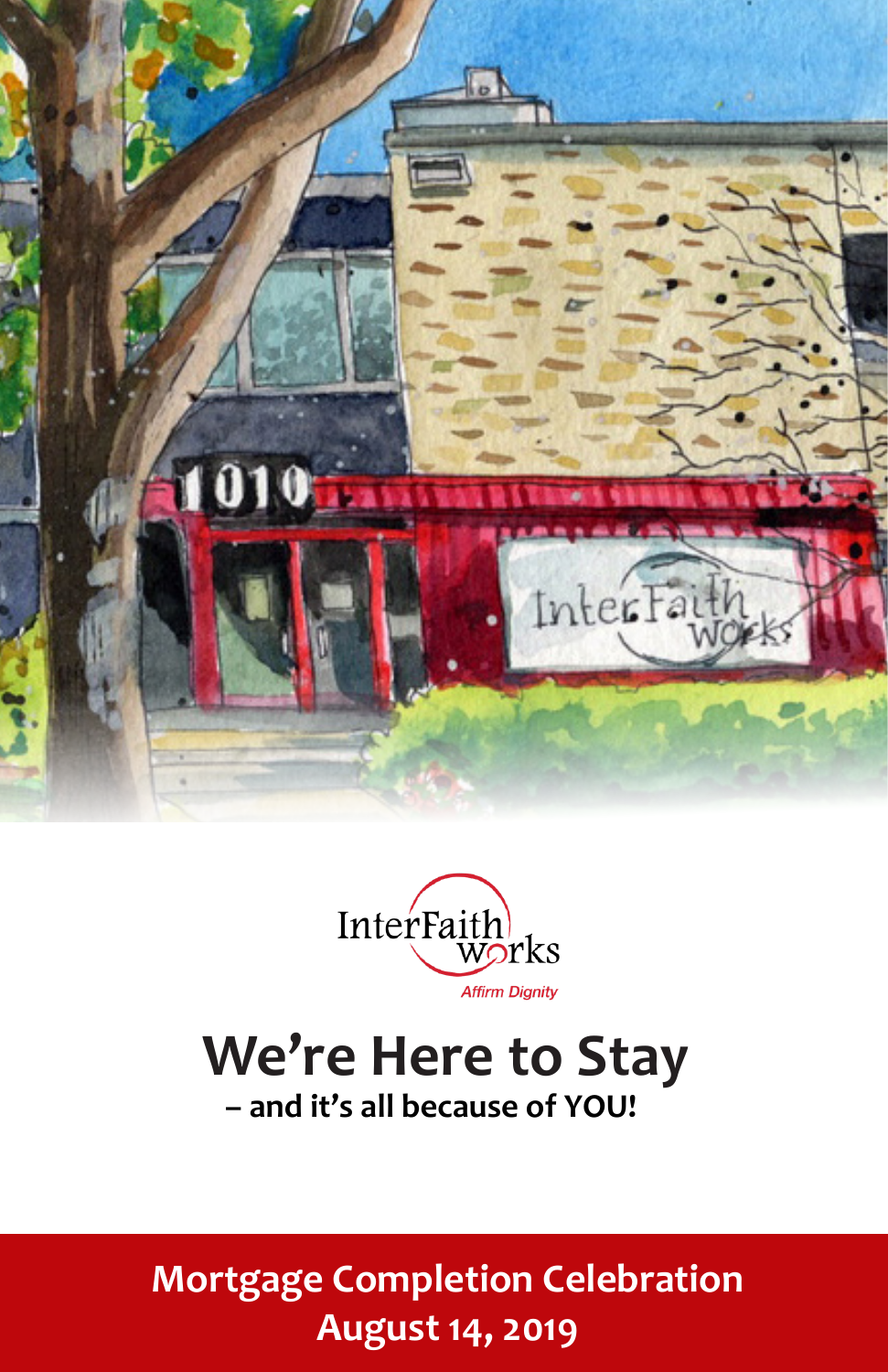



# **We're Here to Stay – and it's all because of YOU!**

**Mortgage Completion Celebration August 14, 2019**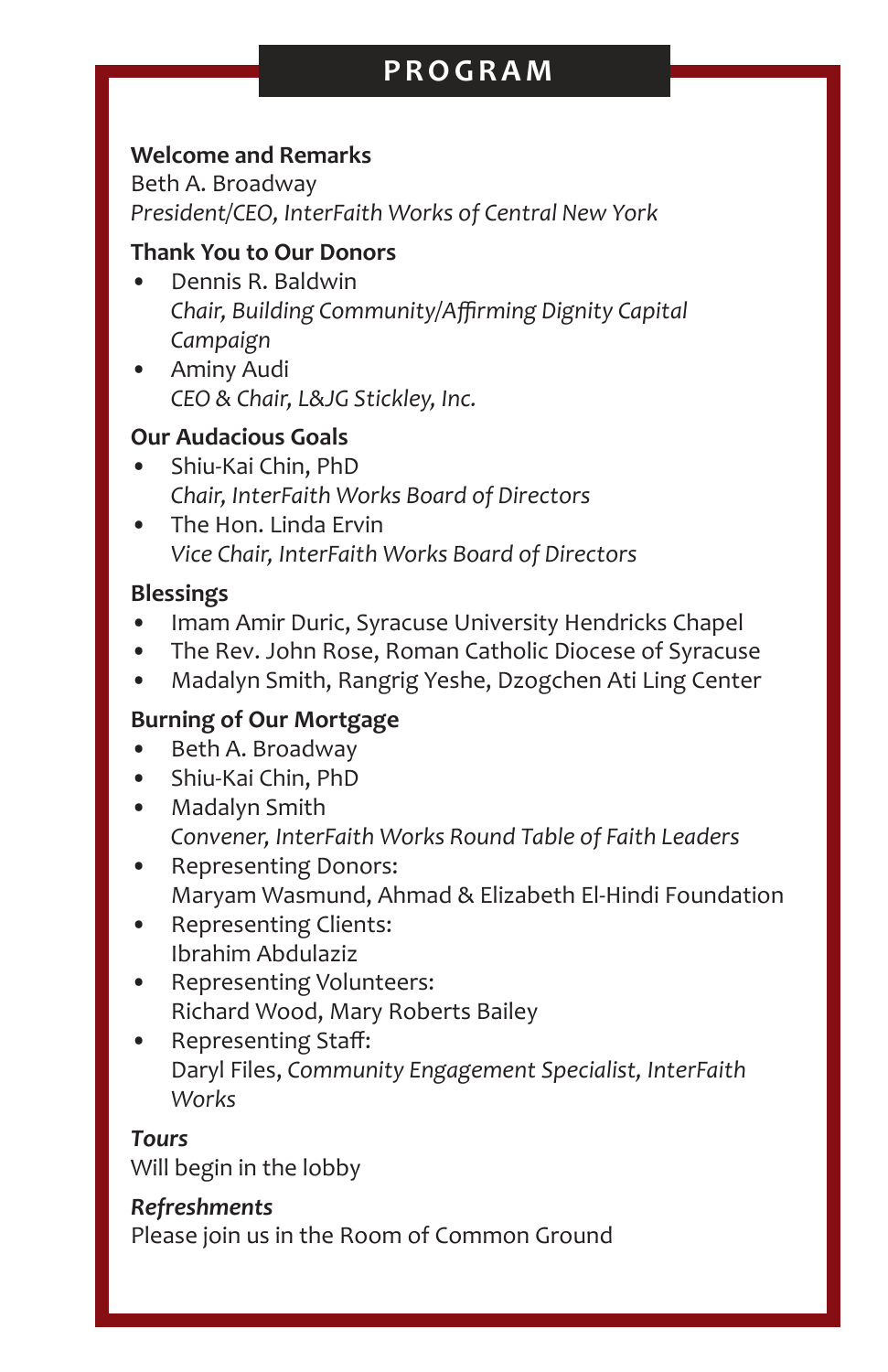# **PROGRAM**

#### **Welcome and Remarks**

Beth A. Broadway *President/CEO, InterFaith Works of Central New York*

#### **Thank You to Our Donors**

- Dennis R. Baldwin *Chair, Building Community/Affirming Dignity Capital Campaign*
- Aminy Audi *CEO & Chair, L&JG Stickley, Inc.*

#### **Our Audacious Goals**

- Shiu-Kai Chin, PhD *Chair, InterFaith Works Board of Directors*
- The Hon. Linda Ervin *Vice Chair, InterFaith Works Board of Directors*

#### **Blessings**

- Imam Amir Duric, Syracuse University Hendricks Chapel
- The Rev. John Rose, Roman Catholic Diocese of Syracuse
- Madalyn Smith, Rangrig Yeshe, Dzogchen Ati Ling Center

#### **Burning of Our Mortgage**

- Beth A. Broadway
- Shiu-Kai Chin, PhD
- Madalyn Smith *Convener, InterFaith Works Round Table of Faith Leaders*
- Representing Donors: Maryam Wasmund, Ahmad & Elizabeth El-Hindi Foundation
- Representing Clients: Ibrahim Abdulaziz
- Representing Volunteers: Richard Wood, Mary Roberts Bailey
- Representing Staff: Daryl Files, *Community Engagement Specialist, InterFaith Works*

#### *Tours*

Will begin in the lobby

#### *Refreshments*

Please join us in the Room of Common Ground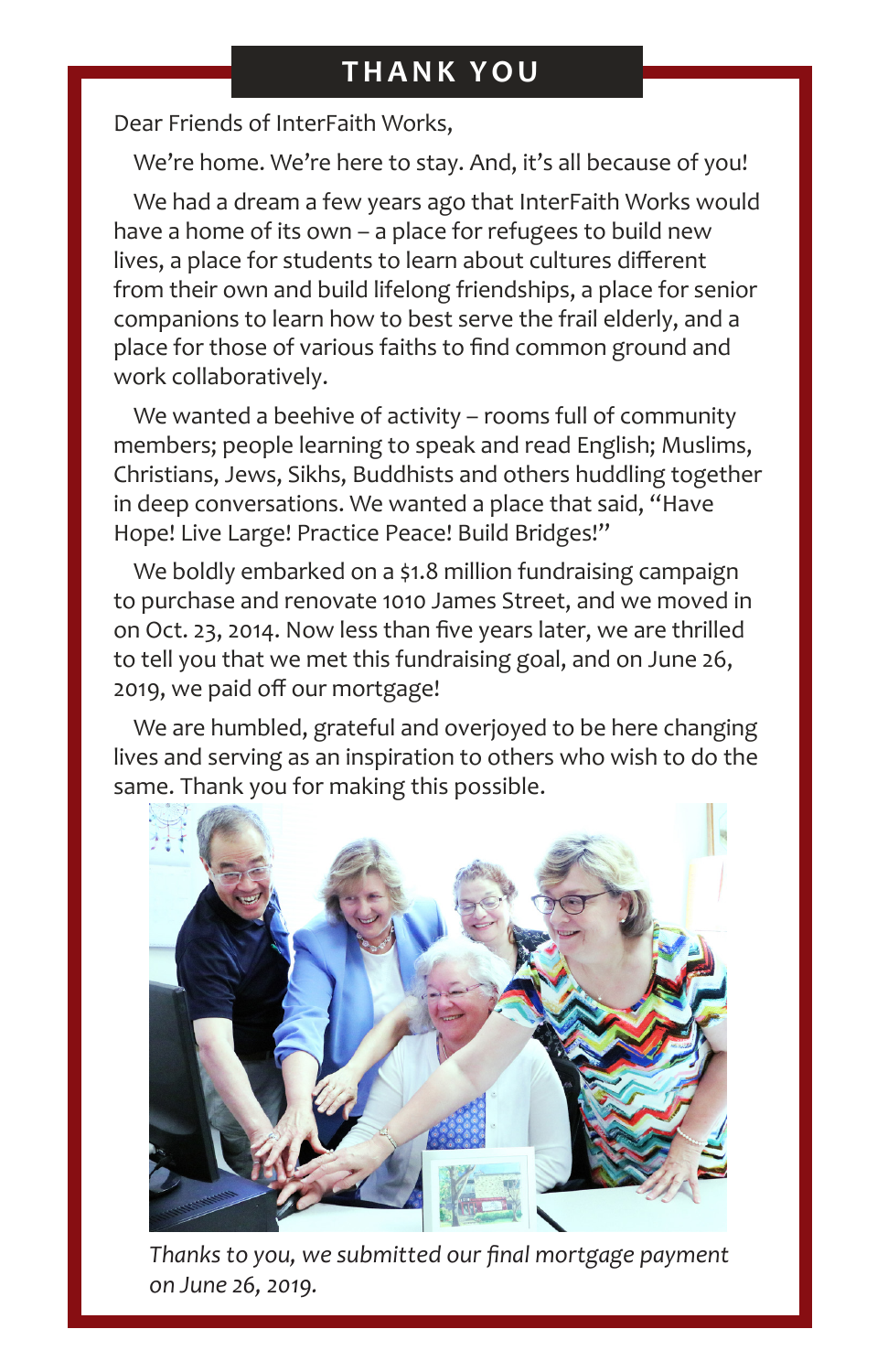Dear Friends of InterFaith Works,

We're home. We're here to stay. And, it's all because of you!

We had a dream a few years ago that InterFaith Works would have a home of its own – a place for refugees to build new lives, a place for students to learn about cultures different from their own and build lifelong friendships, a place for senior companions to learn how to best serve the frail elderly, and a place for those of various faiths to find common ground and work collaboratively.

We wanted a beehive of activity – rooms full of community members; people learning to speak and read English; Muslims, Christians, Jews, Sikhs, Buddhists and others huddling together in deep conversations. We wanted a place that said, "Have Hope! Live Large! Practice Peace! Build Bridges!"

We boldly embarked on a \$1.8 million fundraising campaign to purchase and renovate 1010 James Street, and we moved in on Oct. 23, 2014. Now less than five years later, we are thrilled to tell you that we met this fundraising goal, and on June 26, 2019, we paid off our mortgage!

We are humbled, grateful and overjoyed to be here changing lives and serving as an inspiration to others who wish to do the same. Thank you for making this possible.



*Thanks to you, we submitted our final mortgage payment on June 26, 2019.*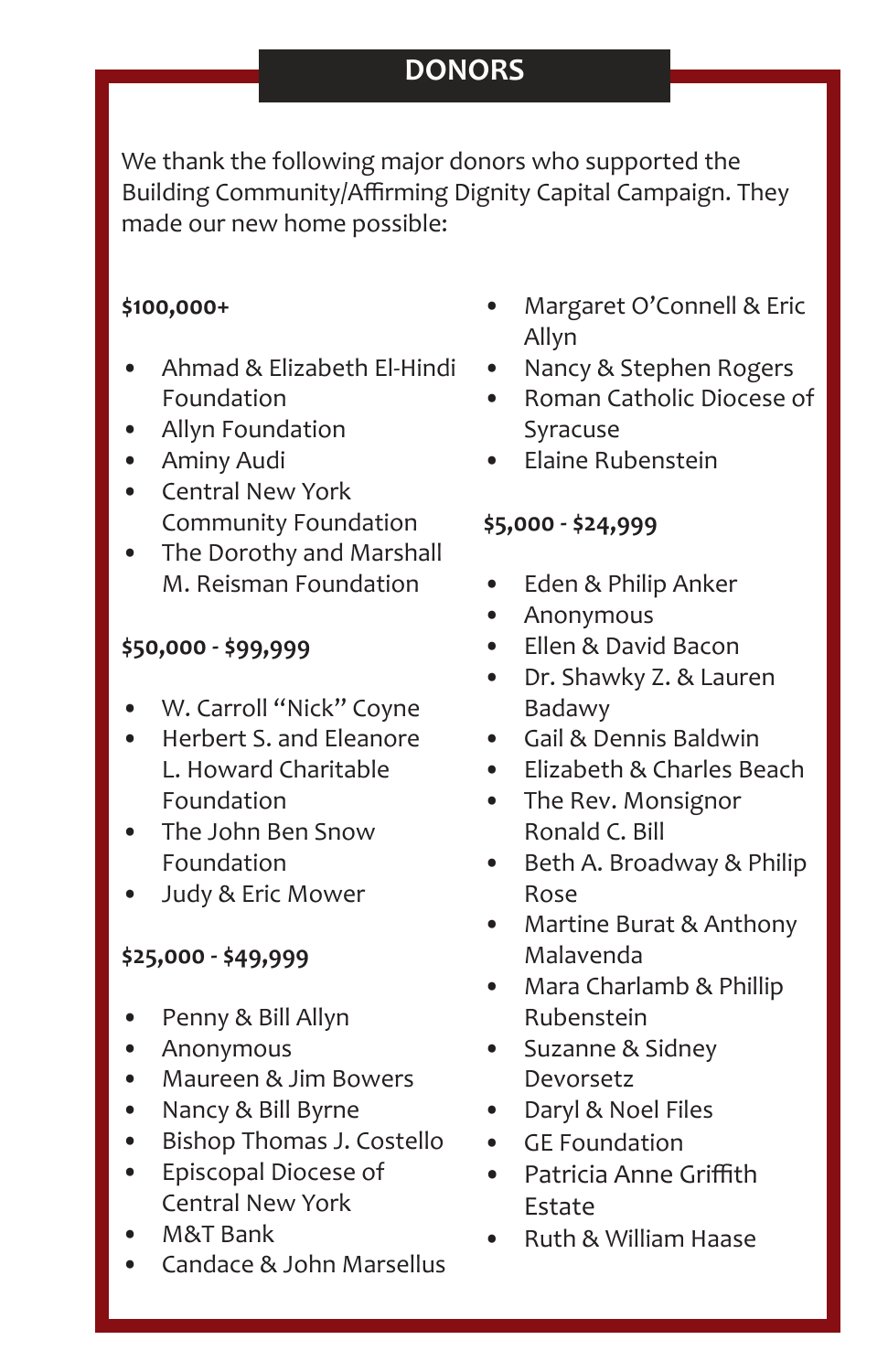# **DONORS**

We thank the following major donors who supported the Building Community/Affirming Dignity Capital Campaign. They made our new home possible:

## **\$100,000+**

- Ahmad & Elizabeth El-Hindi Foundation
- Allyn Foundation
- Aminy Audi
- Central New York Community Foundation
- The Dorothy and Marshall M. Reisman Foundation

## **\$50,000 - \$99,999**

- W. Carroll "Nick" Coyne
- Herbert S. and Eleanore L. Howard Charitable Foundation
- The John Ben Snow Foundation
- Judy & Eric Mower

## **\$25,000 - \$49,999**

- Penny & Bill Allyn
- Anonymous
- Maureen & Jim Bowers
- Nancy & Bill Byrne
- Bishop Thomas J. Costello
- Episcopal Diocese of Central New York
- M&T Bank
- Candace & John Marsellus
- Margaret O'Connell & Eric Allyn
- Nancy & Stephen Rogers
- Roman Catholic Diocese of Syracuse
- Elaine Rubenstein

## **\$5,000 - \$24,999**

- Eden & Philip Anker
- Anonymous
- Ellen & David Bacon
- Dr. Shawky Z. & Lauren Badawy
- Gail & Dennis Baldwin
- Elizabeth & Charles Beach
- The Rev. Monsignor Ronald C. Bill
- Beth A. Broadway & Philip Rose
- Martine Burat & Anthony Malavenda
- Mara Charlamb & Phillip Rubenstein
- Suzanne & Sidney Devorsetz
- Daryl & Noel Files
- GE Foundation
- Patricia Anne Griffith Estate
- Ruth & William Haase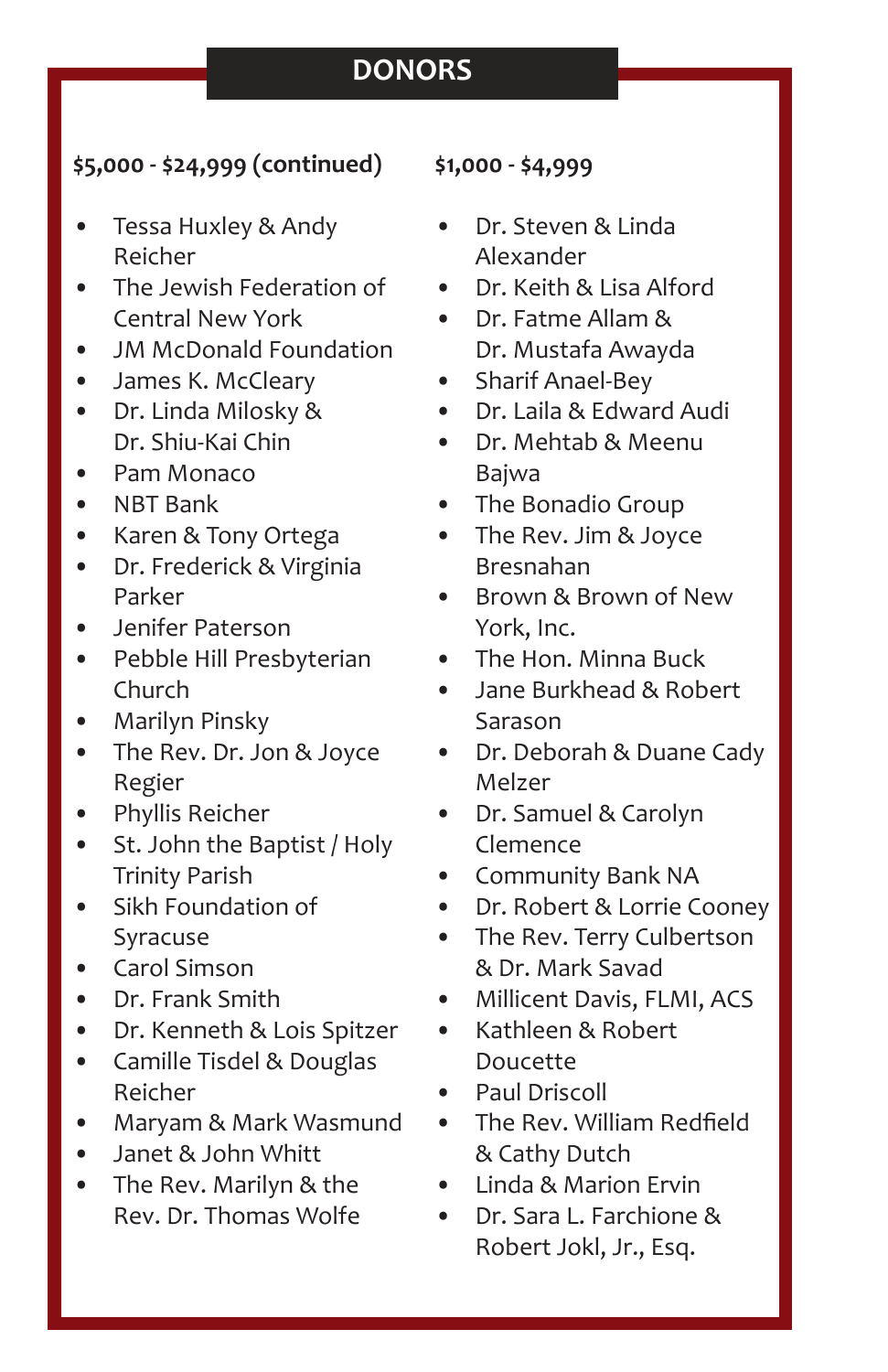# **DONORS**

## **\$5,000 - \$24,999 (continued)**

- Tessa Huxley & Andy Reicher
- The Jewish Federation of Central New York
- JM McDonald Foundation
- James K. McCleary
- Dr. Linda Milosky & Dr. Shiu-Kai Chin
- Pam Monaco
- NBT Bank
- Karen & Tony Ortega
- Dr. Frederick & Virginia Parker
- Jenifer Paterson
- Pebble Hill Presbyterian Church
- Marilyn Pinsky
- The Rev. Dr. Jon & Joyce Regier
- Phyllis Reicher
- St. John the Baptist / Holy Trinity Parish
- Sikh Foundation of Syracuse
- Carol Simson
- Dr. Frank Smith
- Dr. Kenneth & Lois Spitzer
- Camille Tisdel & Douglas Reicher
- Maryam & Mark Wasmund
- Janet & John Whitt
- The Rev. Marilyn & the Rev. Dr. Thomas Wolfe

## **\$1,000 - \$4,999**

- Dr. Steven & Linda Alexander
- Dr. Keith & Lisa Alford
- Dr. Fatme Allam & Dr. Mustafa Awayda
- Sharif Anael-Bey
- Dr. Laila & Edward Audi
- Dr. Mehtab & Meenu Bajwa
- The Bonadio Group
- The Rev. Jim & Joyce Bresnahan
- Brown & Brown of New York, Inc.
- The Hon. Minna Buck
- Jane Burkhead & Robert Sarason
- Dr. Deborah & Duane Cady Melzer
- Dr. Samuel & Carolyn Clemence
- Community Bank NA
- Dr. Robert & Lorrie Cooney
- The Rev. Terry Culbertson & Dr. Mark Savad
- Millicent Davis, FLMI, ACS
- Kathleen & Robert Doucette
- Paul Driscoll
- The Rev. William Redfield & Cathy Dutch
- Linda & Marion Ervin
- Dr. Sara L. Farchione & Robert Jokl, Jr., Esq.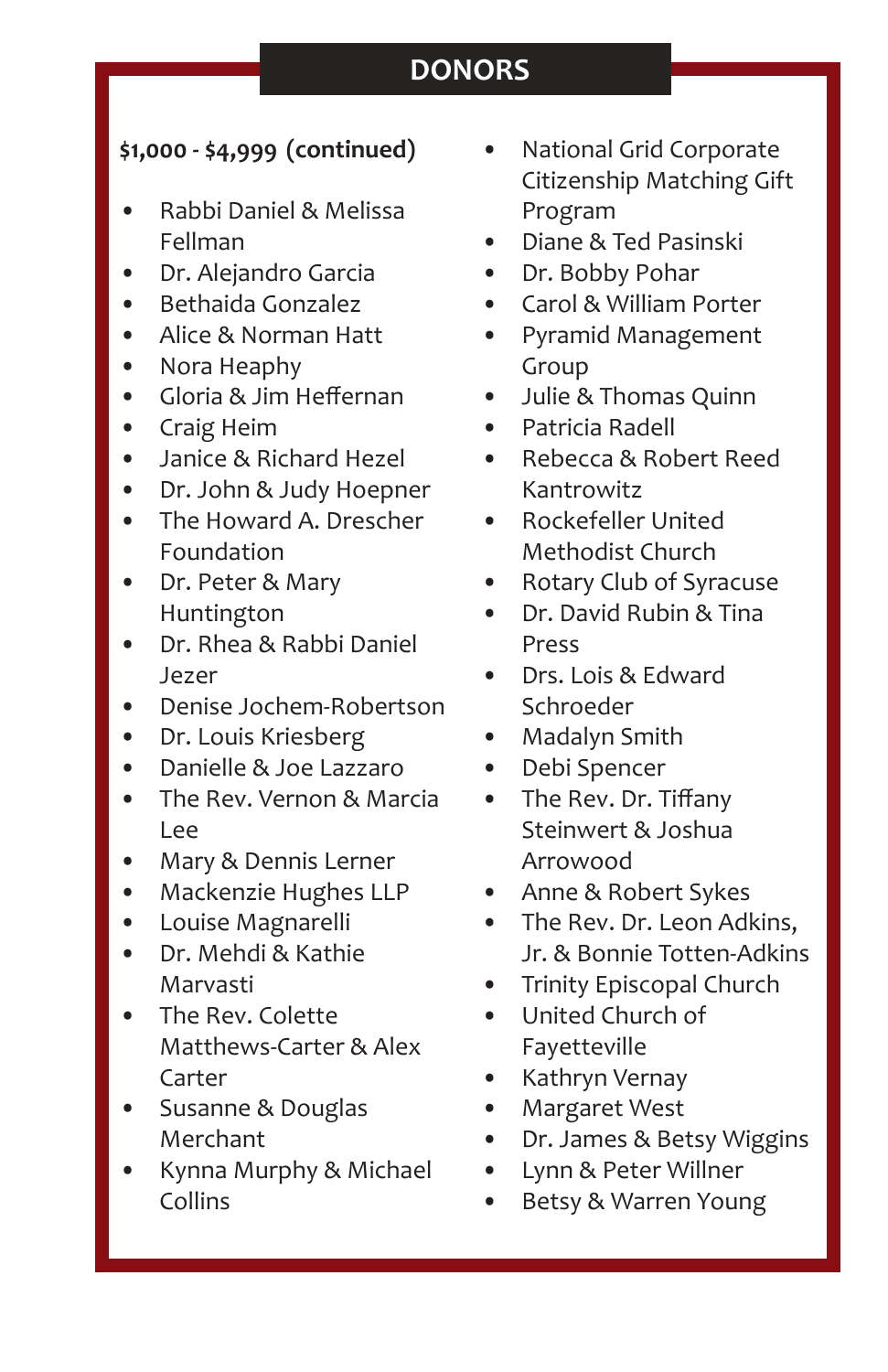# **DONORS**

## **\$1,000 - \$4,999 (continued)**

- Rabbi Daniel & Melissa Fellman
- Dr. Alejandro Garcia
- Bethaida Gonzalez
- Alice & Norman Hatt
- Nora Heaphy
- Gloria & Jim Heffernan
- Craig Heim
- Janice & Richard Hezel
- Dr. John & Judy Hoepner
- The Howard A. Drescher Foundation
- Dr. Peter & Mary Huntington
- Dr. Rhea & Rabbi Daniel Jezer
- Denise Jochem-Robertson
- Dr. Louis Kriesberg
- Danielle & Joe Lazzaro
- The Rev. Vernon & Marcia Lee
- Mary & Dennis Lerner
- Mackenzie Hughes LLP
- Louise Magnarelli
- Dr. Mehdi & Kathie Marvasti
- The Rev. Colette Matthews-Carter & Alex Carter
- Susanne & Douglas Merchant
- Kynna Murphy & Michael Collins
- National Grid Corporate Citizenship Matching Gift Program
- Diane & Ted Pasinski
- Dr. Bobby Pohar
- Carol & William Porter
- Pyramid Management Group
- Julie & Thomas Quinn
- Patricia Radell
- Rebecca & Robert Reed Kantrowitz
- Rockefeller United Methodist Church
- Rotary Club of Syracuse
- Dr. David Rubin & Tina Press
- Drs. Lois & Edward Schroeder
- Madalyn Smith
- Debi Spencer
- The Rev. Dr. Tiffany Steinwert & Joshua Arrowood
- Anne & Robert Sykes
- The Rev. Dr. Leon Adkins, Jr. & Bonnie Totten-Adkins
- Trinity Episcopal Church
- United Church of Fayetteville
- Kathryn Vernay
- Margaret West
- Dr. James & Betsy Wiggins
- Lynn & Peter Willner
- Betsy & Warren Young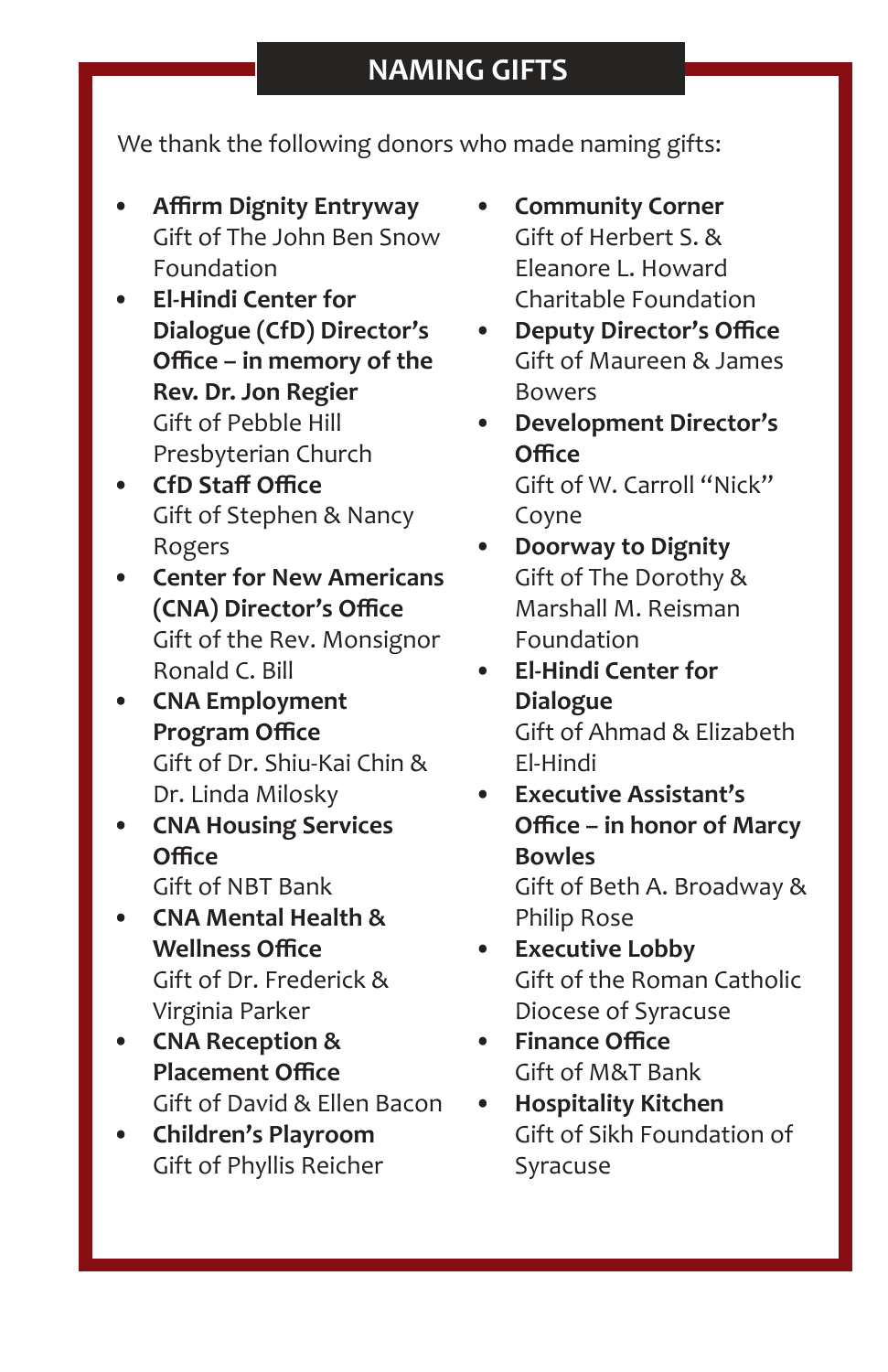We thank the following donors who made naming gifts:

- **• Affirm Dignity Entryway** Gift of The John Ben Snow Foundation
- **• El-Hindi Center for Dialogue (CfD) Director's Office – in memory of the Rev. Dr. Jon Regier**  Gift of Pebble Hill Presbyterian Church
- **• CfD Staff Office** Gift of Stephen & Nancy Rogers
- **• Center for New Americans (CNA) Director's Office** Gift of the Rev. Monsignor Ronald C. Bill
- **• CNA Employment Program Office** Gift of Dr. Shiu-Kai Chin & Dr. Linda Milosky
- **• CNA Housing Services Office** Gift of NBT Bank
- **• CNA Mental Health & Wellness Office** Gift of Dr. Frederick & Virginia Parker
- **• CNA Reception & Placement Office** Gift of David & Ellen Bacon
- **• Children's Playroom** Gift of Phyllis Reicher
- **• Community Corner** Gift of Herbert S. & Eleanore L. Howard Charitable Foundation
- **• Deputy Director's Office** Gift of Maureen & James Bowers
- **• Development Director's Office** Gift of W. Carroll "Nick" Coyne
- **• Doorway to Dignity** Gift of The Dorothy & Marshall M. Reisman Foundation
- **• El-Hindi Center for Dialogue** Gift of Ahmad & Elizabeth El-Hindi
- **• Executive Assistant's Office – in honor of Marcy Bowles** Gift of Beth A. Broadway & Philip Rose
- **• Executive Lobby** Gift of the Roman Catholic Diocese of Syracuse
- **• Finance Office** Gift of M&T Bank
- **• Hospitality Kitchen** Gift of Sikh Foundation of Syracuse